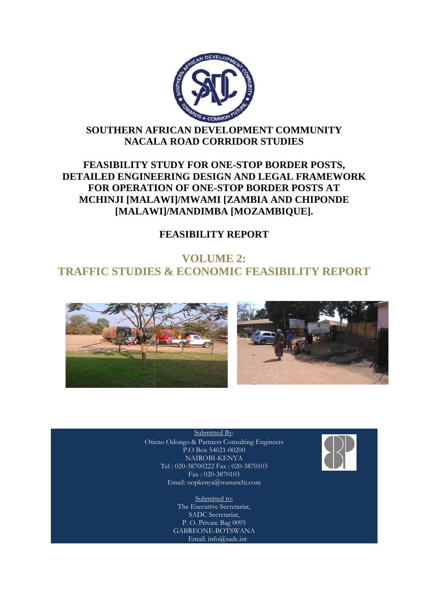

# **SOUTHERN AFRICAN DEVELOPMENT COMMUNITY NACALA ROAD CORRIDOR STUDIES**

# **FEASIBILITY STUDY FOR ONE ONE-STOP BORDER POSTS, DETAILED ENGINEERING DESIGN AND LEGAL FRAMEWORK FOR OPERATION OF ONE ONE-STOP BORDER POSTS AT MCHINJI [MALAWI]/MWAMI [ZAMBIA AND CHIPONDE**  EASIBILITY STUDY FOR ONE-STOP BORDER P<br>ILED ENGINEERING DESIGN AND LEGAL FRA<br>FOR OPERATION OF ONE-STOP BORDER POST<br>CHINJI [MALAWI]/MWAMI [ZAMBIA AND CHI]<br>[MALAWI]/MANDIMBA [MOZAMBIQUE].

# **FEASIBILITY REPORT**

# **TRAFFIC STUDIES & ECONOMIC FEASIBILITY REPORT REPORT VOLUME 2:**





Otieno Odongo & Partners Consulting Engineers Submitted By: P.O Box 54021-00200 NAIROBI-KENYA Tel : 020-38700222 Fax : 020-3870103 Fax : 020-3870103 Email: oopkenya@wananchi.com

> Submitted to: The Executive Secretariat, SADC Secretariat, P. O. Private Bag 0095 GABREONE-BOTSWANA Email: info@sadc.int

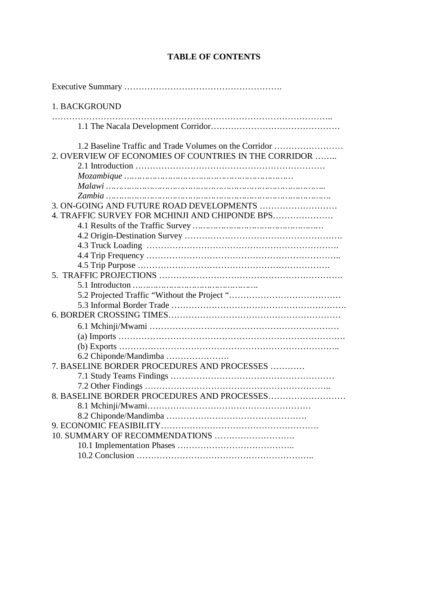# **TABLE OF CONTENTS**

| 1. BACKGROUND                                          |
|--------------------------------------------------------|
|                                                        |
| 1.2 Baseline Traffic and Trade Volumes on the Corridor |
| 2. OVERVIEW OF ECONOMIES OF COUNTRIES IN THE CORRIDOR  |
|                                                        |
|                                                        |
|                                                        |
|                                                        |
|                                                        |
| 4. TRAFFIC SURVEY FOR MCHINJI AND CHIPONDE BPS         |
|                                                        |
|                                                        |
|                                                        |
|                                                        |
|                                                        |
|                                                        |
|                                                        |
|                                                        |
|                                                        |
|                                                        |
|                                                        |
|                                                        |
|                                                        |
|                                                        |
| 7. BASELINE BORDER PROCEDURES AND PROCESSES            |
|                                                        |
|                                                        |
|                                                        |
|                                                        |
|                                                        |
|                                                        |
|                                                        |
|                                                        |
|                                                        |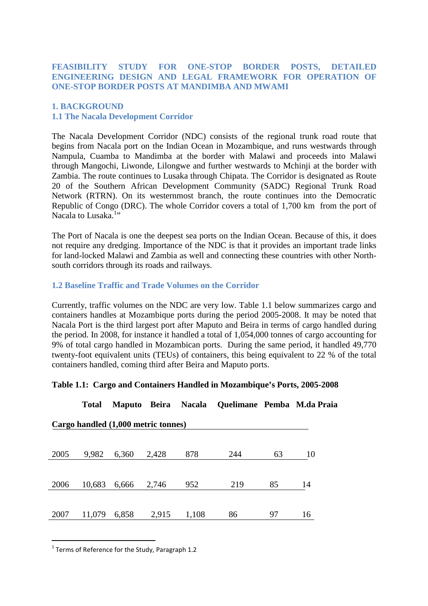## **FEASIBILITY STUDY FOR ONE-STOP BORDER POSTS, DETAILED ENGINEERING DESIGN AND LEGAL FRAMEWORK FOR OPERATION OF ONE-STOP BORDER POSTS AT MANDIMBA AND MWAMI**

## **1. BACKGROUND 1.1 The Nacala Development Corridor**

The Nacala Development Corridor (NDC) consists of the regional trunk road route that begins from Nacala port on the Indian Ocean in Mozambique, and runs westwards through Nampula, Cuamba to Mandimba at the border with Malawi and proceeds into Malawi through Mangochi, Liwonde, Lilongwe and further westwards to Mchinji at the border with Zambia. The route continues to Lusaka through Chipata. The Corridor is designated as Route 20 of the Southern African Development Community (SADC) Regional Trunk Road Network (RTRN). On its westernmost branch, the route continues into the Democratic Republic of Congo (DRC). The whole Corridor covers a total of 1,700 km from the port of Nacala to Lusaka.<sup>1</sup>"

The Port of Nacala is one the deepest sea ports on the Indian Ocean. Because of this, it does not require any dredging. Importance of the NDC is that it provides an important trade links for land-locked Malawi and Zambia as well and connecting these countries with other Northsouth corridors through its roads and railways.

#### **1.2 Baseline Traffic and Trade Volumes on the Corridor**

Currently, traffic volumes on the NDC are very low. Table 1.1 below summarizes cargo and containers handles at Mozambique ports during the period 2005-2008. It may be noted that Nacala Port is the third largest port after Maputo and Beira in terms of cargo handled during the period. In 2008, for instance it handled a total of 1,054,000 tonnes of cargo accounting for 9% of total cargo handled in Mozambican ports. During the same period, it handled 49,770 twenty-foot equivalent units (TEUs) of containers, this being equivalent to 22 % of the total containers handled, coming third after Beira and Maputo ports.

#### **Table 1.1: Cargo and Containers Handled in Mozambique's Ports, 2005-2008**

|      | Total  |                                     |       | Maputo Beira Nacala | Quelimane Pemba M.da I |    |    |
|------|--------|-------------------------------------|-------|---------------------|------------------------|----|----|
|      |        | Cargo handled (1,000 metric tonnes) |       |                     |                        |    |    |
| 2005 | 9,982  | 6,360                               | 2,428 | 878                 | 244                    | 63 | 10 |
| 2006 | 10,683 | 6,666                               | 2,746 | 952                 | 219                    | 85 | 14 |
| 2007 | 11,079 | 6,858                               | 2,915 | 1,108               | 86                     | 97 | 16 |

**Total Maputo Beira Nacala Quelimane Pemba M.da Praia** 

 $\overline{a}$  $1$  Terms of Reference for the Study, Paragraph 1.2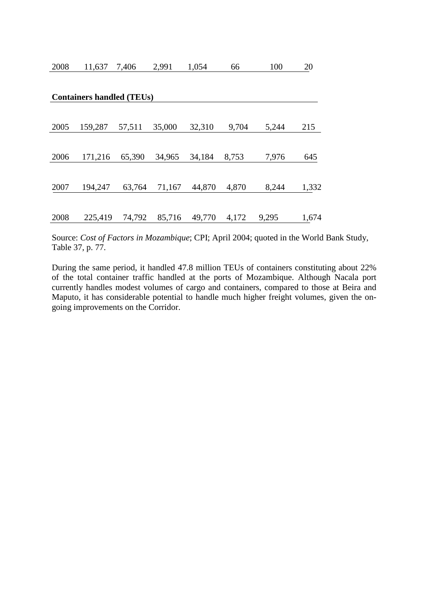| 2008 | 11,637                           | 7,406  | 2,991  | 1,054  | 66    | 100   | 20    |
|------|----------------------------------|--------|--------|--------|-------|-------|-------|
|      |                                  |        |        |        |       |       |       |
|      | <b>Containers handled (TEUs)</b> |        |        |        |       |       |       |
|      |                                  |        |        |        |       |       |       |
| 2005 | 159,287                          | 57,511 | 35,000 | 32,310 | 9,704 | 5,244 | 215   |
|      |                                  |        |        |        |       |       |       |
| 2006 | 171,216                          | 65,390 | 34,965 | 34,184 | 8,753 | 7,976 | 645   |
|      |                                  |        |        |        |       |       |       |
| 2007 | 194,247                          | 63,764 | 71,167 | 44,870 | 4,870 | 8,244 | 1,332 |
|      |                                  |        |        |        |       |       |       |
| 2008 | 225,419                          | 74,792 | 85,716 | 49,770 | 4,172 | 9,295 | 1,674 |

Source: *Cost of Factors in Mozambique*; CPI; April 2004; quoted in the World Bank Study, Table 37, p. 77.

During the same period, it handled 47.8 million TEUs of containers constituting about 22% of the total container traffic handled at the ports of Mozambique. Although Nacala port currently handles modest volumes of cargo and containers, compared to those at Beira and Maputo, it has considerable potential to handle much higher freight volumes, given the ongoing improvements on the Corridor.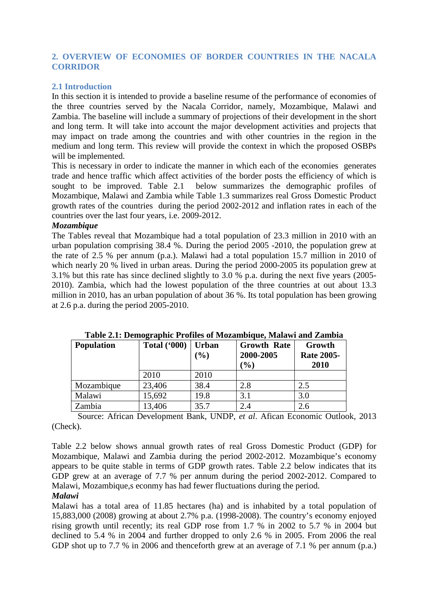## **2. OVERVIEW OF ECONOMIES OF BORDER COUNTRIES IN THE NACALA CORRIDOR**

#### **2.1 Introduction**

In this section it is intended to provide a baseline resume of the performance of economies of the three countries served by the Nacala Corridor, namely, Mozambique, Malawi and Zambia. The baseline will include a summary of projections of their development in the short and long term. It will take into account the major development activities and projects that may impact on trade among the countries and with other countries in the region in the medium and long term. This review will provide the context in which the proposed OSBPs will be implemented.

This is necessary in order to indicate the manner in which each of the economies generates trade and hence traffic which affect activities of the border posts the efficiency of which is sought to be improved. Table 2.1 below summarizes the demographic profiles of Mozambique, Malawi and Zambia while Table 1.3 summarizes real Gross Domestic Product growth rates of the countries during the period 2002-2012 and inflation rates in each of the countries over the last four years, i.e. 2009-2012.

#### *Mozambique*

The Tables reveal that Mozambique had a total population of 23.3 million in 2010 with an urban population comprising 38.4 %. During the period 2005 -2010, the population grew at the rate of 2.5 % per annum (p.a.). Malawi had a total population 15.7 million in 2010 of which nearly 20 % lived in urban areas. During the period 2000-2005 its population grew at 3.1% but this rate has since declined slightly to 3.0 % p.a. during the next five years (2005-2010). Zambia, which had the lowest population of the three countries at out about 13.3 million in 2010, has an urban population of about 36 %. Its total population has been growing at 2.6 p.a. during the period 2005-2010.

| <b>Population</b> | <b>Total ('000)</b> | <b>Urban</b><br>(%) | <b>Growth Rate</b><br>2000-2005<br>$\mathcal{O}_\mathbf{0}$ | Growth<br><b>Rate 2005-</b><br>2010 |
|-------------------|---------------------|---------------------|-------------------------------------------------------------|-------------------------------------|
|                   | 2010                | 2010                |                                                             |                                     |
| Mozambique        | 23,406              | 38.4                | 2.8                                                         | 2.5                                 |
| Malawi            | 15,692              | 19.8                | 3.1                                                         | 3.0                                 |
| Zambia            | 13,406              | 35.7                | 2.4                                                         | 2.6                                 |

**Table 2.1: Demographic Profiles of Mozambique, Malawi and Zambia** 

Source: African Development Bank, UNDP, *et al*. Afican Economic Outlook, 2013 (Check).

Table 2.2 below shows annual growth rates of real Gross Domestic Product (GDP) for Mozambique, Malawi and Zambia during the period 2002-2012. Mozambique's economy appears to be quite stable in terms of GDP growth rates. Table 2.2 below indicates that its GDP grew at an average of 7.7 % per annum during the period 2002-2012. Compared to Malawi, Mozambique,s econmy has had fewer fluctuations during the period.

#### *Malawi*

Malawi has a total area of 11.85 hectares (ha) and is inhabited by a total population of 15,883,000 (2008) growing at about 2.7% p.a. (1998-2008). The country's economy enjoyed rising growth until recently; its real GDP rose from 1.7 % in 2002 to 5.7 % in 2004 but declined to 5.4 % in 2004 and further dropped to only 2.6 % in 2005. From 2006 the real GDP shot up to 7.7 % in 2006 and thenceforth grew at an average of 7.1 % per annum (p.a.)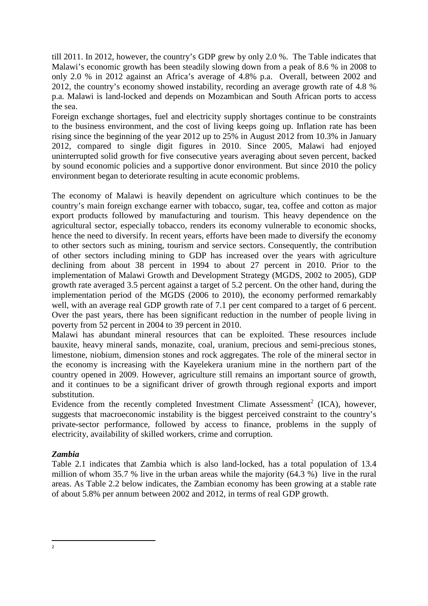till 2011. In 2012, however, the country's GDP grew by only 2.0 %. The Table indicates that Malawi's economic growth has been steadily slowing down from a peak of 8.6 % in 2008 to only 2.0 % in 2012 against an Africa's average of 4.8% p.a. Overall, between 2002 and 2012, the country's economy showed instability, recording an average growth rate of 4.8 % p.a. Malawi is land-locked and depends on Mozambican and South African ports to access the sea.

Foreign exchange shortages, fuel and electricity supply shortages continue to be constraints to the business environment, and the cost of living keeps going up. Inflation rate has been rising since the beginning of the year 2012 up to 25% in August 2012 from 10.3% in January 2012, compared to single digit figures in 2010. Since 2005, Malawi had enjoyed uninterrupted solid growth for five consecutive years averaging about seven percent, backed by sound economic policies and a supportive donor environment. But since 2010 the policy environment began to deteriorate resulting in acute economic problems.

The economy of Malawi is heavily dependent on agriculture which continues to be the country's main foreign exchange earner with tobacco, sugar, tea, coffee and cotton as major export products followed by manufacturing and tourism. This heavy dependence on the agricultural sector, especially tobacco, renders its economy vulnerable to economic shocks, hence the need to diversify. In recent years, efforts have been made to diversify the economy to other sectors such as mining, tourism and service sectors. Consequently, the contribution of other sectors including mining to GDP has increased over the years with agriculture declining from about 38 percent in 1994 to about 27 percent in 2010. Prior to the implementation of Malawi Growth and Development Strategy (MGDS, 2002 to 2005), GDP growth rate averaged 3.5 percent against a target of 5.2 percent. On the other hand, during the implementation period of the MGDS (2006 to 2010), the economy performed remarkably well, with an average real GDP growth rate of 7.1 per cent compared to a target of 6 percent. Over the past years, there has been significant reduction in the number of people living in poverty from 52 percent in 2004 to 39 percent in 2010.

Malawi has abundant mineral resources that can be exploited. These resources include bauxite, heavy mineral sands, monazite, coal, uranium, precious and semi-precious stones, limestone, niobium, dimension stones and rock aggregates. The role of the mineral sector in the economy is increasing with the Kayelekera uranium mine in the northern part of the country opened in 2009. However, agriculture still remains an important source of growth, and it continues to be a significant driver of growth through regional exports and import substitution.

Evidence from the recently completed Investment Climate Assessment<sup>2</sup> (ICA), however, suggests that macroeconomic instability is the biggest perceived constraint to the country's private-sector performance, followed by access to finance, problems in the supply of electricity, availability of skilled workers, crime and corruption.

# *Zambia*

Table 2.1 indicates that Zambia which is also land-locked, has a total population of 13.4 million of whom 35.7 % live in the urban areas while the majority (64.3 %) live in the rural areas. As Table 2.2 below indicates, the Zambian economy has been growing at a stable rate of about 5.8% per annum between 2002 and 2012, in terms of real GDP growth.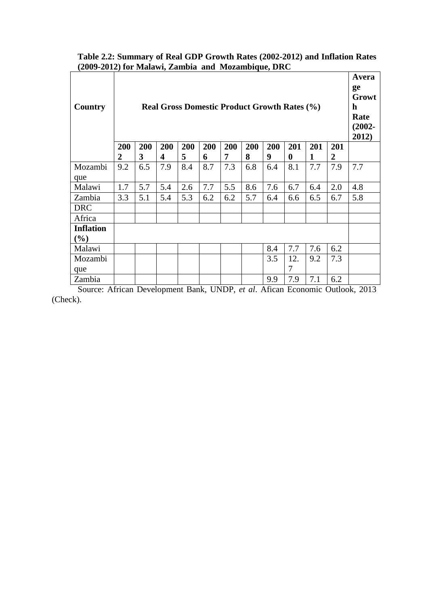| Country          | <b>Real Gross Domestic Product Growth Rates (%)</b> |     |     |     |     |     |     |     |          |              |                |     |
|------------------|-----------------------------------------------------|-----|-----|-----|-----|-----|-----|-----|----------|--------------|----------------|-----|
|                  | 200                                                 | 200 | 200 | 200 | 200 | 200 | 200 | 200 | 201      | 201          | 201            |     |
|                  | 2                                                   | 3   | 4   | 5   | 6   | 7   | 8   | 9   | $\bf{0}$ | $\mathbf{1}$ | $\overline{2}$ |     |
| Mozambi          | 9.2                                                 | 6.5 | 7.9 | 8.4 | 8.7 | 7.3 | 6.8 | 6.4 | 8.1      | 7.7          | 7.9            | 7.7 |
| que              |                                                     |     |     |     |     |     |     |     |          |              |                |     |
| Malawi           | 1.7                                                 | 5.7 | 5.4 | 2.6 | 7.7 | 5.5 | 8.6 | 7.6 | 6.7      | 6.4          | 2.0            | 4.8 |
| Zambia           | 3.3                                                 | 5.1 | 5.4 | 5.3 | 6.2 | 6.2 | 5.7 | 6.4 | 6.6      | 6.5          | 6.7            | 5.8 |
| <b>DRC</b>       |                                                     |     |     |     |     |     |     |     |          |              |                |     |
| Africa           |                                                     |     |     |     |     |     |     |     |          |              |                |     |
| <b>Inflation</b> |                                                     |     |     |     |     |     |     |     |          |              |                |     |
| $(\%)$           |                                                     |     |     |     |     |     |     |     |          |              |                |     |
| Malawi           |                                                     |     |     |     |     |     |     | 8.4 | 7.7      | 7.6          | 6.2            |     |
| Mozambi          |                                                     |     |     |     |     |     |     | 3.5 | 12.      | 9.2          | 7.3            |     |
| que              |                                                     |     |     |     |     |     |     |     | 7        |              |                |     |
| Zambia           |                                                     |     |     |     |     |     |     | 9.9 | 7.9      | 7.1          | 6.2            |     |

# **Table 2.2: Summary of Real GDP Growth Rates (2002-2012) and Inflation Rates (2009-2012) for Malawi, Zambia and Mozambique, DRC**

Source: African Development Bank, UNDP, *et al*. Afican Economic Outlook, 2013 (Check).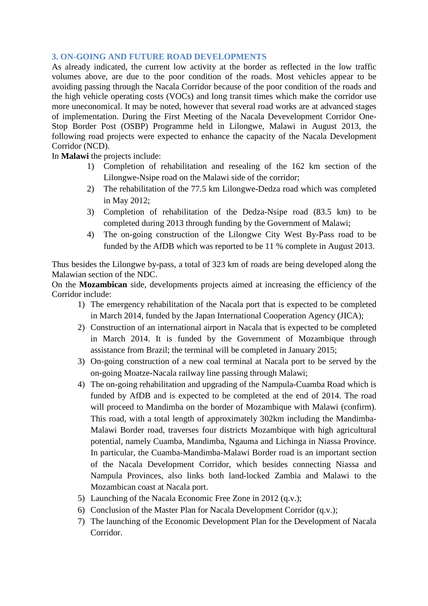#### **3. ON-GOING AND FUTURE ROAD DEVELOPMENTS**

As already indicated, the current low activity at the border as reflected in the low traffic volumes above, are due to the poor condition of the roads. Most vehicles appear to be avoiding passing through the Nacala Corridor because of the poor condition of the roads and the high vehicle operating costs (VOCs) and long transit times which make the corridor use more uneconomical. It may be noted, however that several road works are at advanced stages of implementation. During the First Meeting of the Nacala Devevelopment Corridor One-Stop Border Post (OSBP) Programme held in Lilongwe, Malawi in August 2013, the following road projects were expected to enhance the capacity of the Nacala Development Corridor (NCD).

In **Malawi** the projects include:

- 1) Completion of rehabilitation and resealing of the 162 km section of the Lilongwe-Nsipe road on the Malawi side of the corridor;
- 2) The rehabilitation of the 77.5 km Lilongwe-Dedza road which was completed in May 2012;
- 3) Completion of rehabilitation of the Dedza-Nsipe road (83.5 km) to be completed during 2013 through funding by the Government of Malawi;
- 4) The on-going construction of the Lilongwe City West By-Pass road to be funded by the AfDB which was reported to be 11 % complete in August 2013.

Thus besides the Lilongwe by-pass, a total of 323 km of roads are being developed along the Malawian section of the NDC.

On the **Mozambican** side, developments projects aimed at increasing the efficiency of the Corridor include:

- 1) The emergency rehabilitation of the Nacala port that is expected to be completed in March 2014, funded by the Japan International Cooperation Agency (JICA);
- 2) Construction of an international airport in Nacala that is expected to be completed in March 2014. It is funded by the Government of Mozambique through assistance from Brazil; the terminal will be completed in January 2015;
- 3) On-going construction of a new coal terminal at Nacala port to be served by the on-going Moatze-Nacala railway line passing through Malawi;
- 4) The on-going rehabilitation and upgrading of the Nampula-Cuamba Road which is funded by AfDB and is expected to be completed at the end of 2014. The road will proceed to Mandimba on the border of Mozambique with Malawi (confirm). This road, with a total length of approximately 302km including the Mandimba-Malawi Border road, traverses four districts Mozambique with high agricultural potential, namely Cuamba, Mandimba, Ngauma and Lichinga in Niassa Province. In particular, the Cuamba-Mandimba-Malawi Border road is an important section of the Nacala Development Corridor, which besides connecting Niassa and Nampula Provinces, also links both land-locked Zambia and Malawi to the Mozambican coast at Nacala port.
- 5) Launching of the Nacala Economic Free Zone in 2012 (q.v.);
- 6) Conclusion of the Master Plan for Nacala Development Corridor (q.v.);
- 7) The launching of the Economic Development Plan for the Development of Nacala Corridor.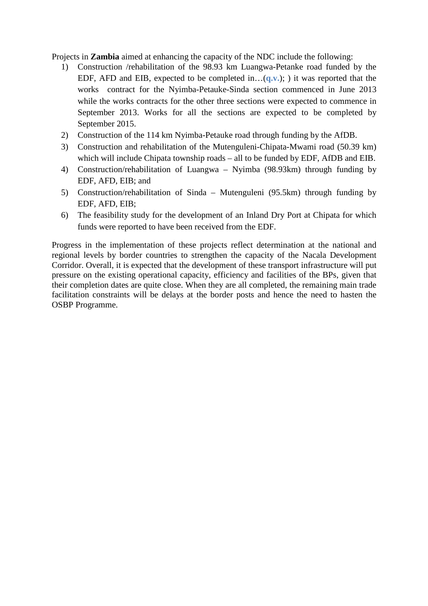Projects in **Zambia** aimed at enhancing the capacity of the NDC include the following:

- 1) Construction /rehabilitation of the 98.93 km Luangwa-Petanke road funded by the EDF, AFD and EIB, expected to be completed in…(**q.v.**); ) it was reported that the works contract for the Nyimba-Petauke-Sinda section commenced in June 2013 while the works contracts for the other three sections were expected to commence in September 2013. Works for all the sections are expected to be completed by September 2015.
- 2) Construction of the 114 km Nyimba-Petauke road through funding by the AfDB.
- 3) Construction and rehabilitation of the Mutenguleni-Chipata-Mwami road (50.39 km) which will include Chipata township roads – all to be funded by EDF, AfDB and EIB.
- 4) Construction/rehabilitation of Luangwa Nyimba (98.93km) through funding by EDF, AFD, EIB; and
- 5) Construction/rehabilitation of Sinda Mutenguleni (95.5km) through funding by EDF, AFD, EIB;
- 6) The feasibility study for the development of an Inland Dry Port at Chipata for which funds were reported to have been received from the EDF.

Progress in the implementation of these projects reflect determination at the national and regional levels by border countries to strengthen the capacity of the Nacala Development Corridor. Overall, it is expected that the development of these transport infrastructure will put pressure on the existing operational capacity, efficiency and facilities of the BPs, given that their completion dates are quite close. When they are all completed, the remaining main trade facilitation constraints will be delays at the border posts and hence the need to hasten the OSBP Programme.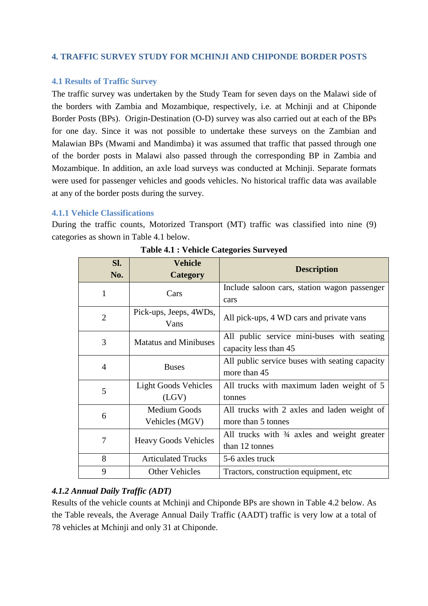# **4. TRAFFIC SURVEY STUDY FOR MCHINJI AND CHIPONDE BORDER POSTS**

#### **4.1 Results of Traffic Survey**

The traffic survey was undertaken by the Study Team for seven days on the Malawi side of the borders with Zambia and Mozambique, respectively, i.e. at Mchinji and at Chiponde Border Posts (BPs). Origin-Destination (O-D) survey was also carried out at each of the BPs for one day. Since it was not possible to undertake these surveys on the Zambian and Malawian BPs (Mwami and Mandimba) it was assumed that traffic that passed through one of the border posts in Malawi also passed through the corresponding BP in Zambia and Mozambique. In addition, an axle load surveys was conducted at Mchinji. Separate formats were used for passenger vehicles and goods vehicles. No historical traffic data was available at any of the border posts during the survey.

#### **4.1.1 Vehicle Classifications**

During the traffic counts, Motorized Transport (MT) traffic was classified into nine (9) categories as shown in Table 4.1 below.

| SI.            | <b>Vehicle</b>               | <b>Description</b>                                     |
|----------------|------------------------------|--------------------------------------------------------|
| No.            | <b>Category</b>              |                                                        |
| 1              | Cars                         | Include saloon cars, station wagon passenger           |
|                |                              | cars                                                   |
| $\overline{2}$ | Pick-ups, Jeeps, 4WDs,       | All pick-ups, 4 WD cars and private vans               |
|                | Vans                         |                                                        |
| 3              | <b>Matatus and Minibuses</b> | All public service mini-buses with seating             |
|                |                              | capacity less than 45                                  |
| $\overline{4}$ | <b>Buses</b>                 | All public service buses with seating capacity         |
|                |                              | more than 45                                           |
| 5              | Light Goods Vehicles         | All trucks with maximum laden weight of 5              |
|                | (LGV)                        | tonnes                                                 |
| 6              | Medium Goods                 | All trucks with 2 axles and laden weight of            |
|                | Vehicles (MGV)               | more than 5 tonnes                                     |
| 7              | <b>Heavy Goods Vehicles</b>  | All trucks with $\frac{3}{4}$ axles and weight greater |
|                |                              | than 12 tonnes                                         |
| 8              | <b>Articulated Trucks</b>    | 5-6 axles truck                                        |
| 9              | <b>Other Vehicles</b>        | Tractors, construction equipment, etc.                 |

**Table 4.1 : Vehicle Categories Surveyed** 

# *4.1.2 Annual Daily Traffic (ADT)*

Results of the vehicle counts at Mchinji and Chiponde BPs are shown in Table 4.2 below. As the Table reveals, the Average Annual Daily Traffic (AADT) traffic is very low at a total of 78 vehicles at Mchinji and only 31 at Chiponde.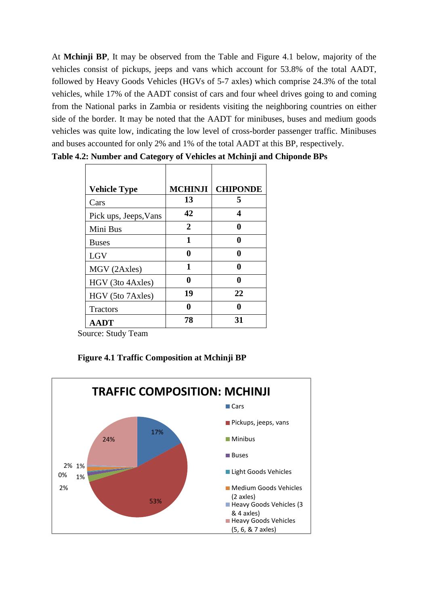At **Mchinji BP**, It may be observed from the Table and Figure 4.1 below, majority of the vehicles consist of pickups, jeeps and vans which account for 53.8% of the total AADT, followed by Heavy Goods Vehicles (HGVs of 5-7 axles) which comprise 24.3% of the total vehicles, while 17% of the AADT consist of cars and four wheel drives going to and coming from the National parks in Zambia or residents visiting the neighboring countries on either side of the border. It may be noted that the AADT for minibuses, buses and medium goods vehicles was quite low, indicating the low level of cross-border passenger traffic. Minibuses and buses accounted for only 2% and 1% of the total AADT at this BP, respectively.

| <b>Vehicle Type</b>   | <b>MCHINJI</b> | <b>CHIPONDE</b> |
|-----------------------|----------------|-----------------|
| Cars                  | 13             | 5               |
| Pick ups, Jeeps, Vans | 42             | 4               |
| Mini Bus              | 2              | 0               |
| <b>Buses</b>          | 1              | 0               |
| LGV                   | 0              |                 |
| MGV (2Axles)          | 1              | A               |
| HGV (3to 4Axles)      | 0              |                 |
| HGV (5to 7Axles)      | 19             | 22              |
| <b>Tractors</b>       | A              |                 |
| <b>AADT</b>           | 78             | 31              |

**Table 4.2: Number and Category of Vehicles at Mchinji and Chiponde BPs**

Source: Study Team

|  |  |  | Figure 4.1 Traffic Composition at Mchinji BP |
|--|--|--|----------------------------------------------|
|--|--|--|----------------------------------------------|

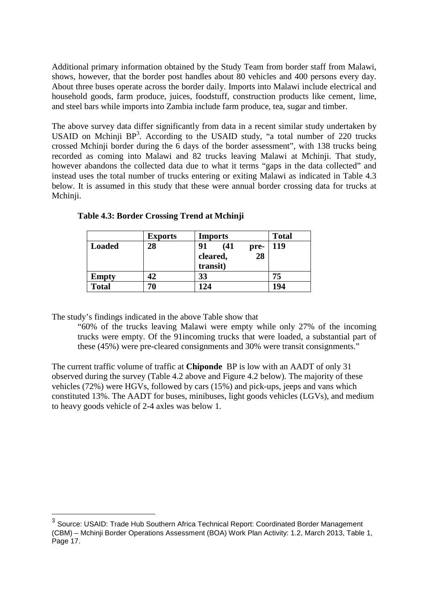Additional primary information obtained by the Study Team from border staff from Malawi, shows, however, that the border post handles about 80 vehicles and 400 persons every day. About three buses operate across the border daily. Imports into Malawi include electrical and household goods, farm produce, juices, foodstuff, construction products like cement, lime, and steel bars while imports into Zambia include farm produce, tea, sugar and timber.

The above survey data differ significantly from data in a recent similar study undertaken by USAID on Mchinji BP<sup>3</sup>. According to the USAID study, "a total number of 220 trucks crossed Mchinji border during the 6 days of the border assessment", with 138 trucks being recorded as coming into Malawi and 82 trucks leaving Malawi at Mchinji. That study, however abandons the collected data due to what it terms "gaps in the data collected" and instead uses the total number of trucks entering or exiting Malawi as indicated in Table 4.3 below. It is assumed in this study that these were annual border crossing data for trucks at Mchinji.

|               | <b>Exports</b> | <b>Imports</b>             | <b>Total</b> |
|---------------|----------------|----------------------------|--------------|
| <b>Loaded</b> | 28             | 91<br>(41)<br>pre-         | 119          |
|               |                | 28<br>cleared,<br>transit) |              |
| <b>Empty</b>  | 42             | 33                         | 75           |
| <b>Total</b>  | 70             | 124                        | 194          |

**Table 4.3: Border Crossing Trend at Mchinji** 

The study's findings indicated in the above Table show that

"60% of the trucks leaving Malawi were empty while only 27% of the incoming trucks were empty. Of the 91incoming trucks that were loaded, a substantial part of these (45%) were pre-cleared consignments and 30% were transit consignments."

The current traffic volume of traffic at **Chiponde** BP is low with an AADT of only 31 observed during the survey (Table 4.2 above and Figure 4.2 below). The majority of these vehicles (72%) were HGVs, followed by cars (15%) and pick-ups, jeeps and vans which constituted 13%. The AADT for buses, minibuses, light goods vehicles (LGVs), and medium to heavy goods vehicle of 2-4 axles was below 1.

 3 Source: USAID: Trade Hub Southern Africa Technical Report: Coordinated Border Management (CBM) – Mchinji Border Operations Assessment (BOA) Work Plan Activity: 1.2, March 2013, Table 1, Page 17.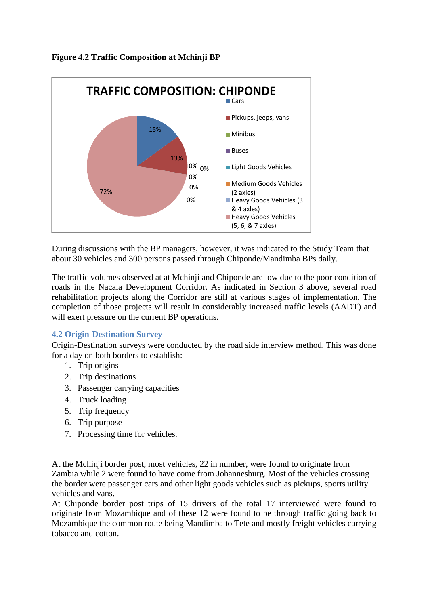



During discussions with the BP managers, however, it was indicated to the Study Team that about 30 vehicles and 300 persons passed through Chiponde/Mandimba BPs daily.

The traffic volumes observed at at Mchinji and Chiponde are low due to the poor condition of roads in the Nacala Development Corridor. As indicated in Section 3 above, several road rehabilitation projects along the Corridor are still at various stages of implementation. The completion of those projects will result in considerably increased traffic levels (AADT) and will exert pressure on the current BP operations.

# **4.2 Origin-Destination Survey**

Origin-Destination surveys were conducted by the road side interview method. This was done for a day on both borders to establish:

- 1. Trip origins
- 2. Trip destinations
- 3. Passenger carrying capacities
- 4. Truck loading
- 5. Trip frequency
- 6. Trip purpose
- 7. Processing time for vehicles.

At the Mchinji border post, most vehicles, 22 in number, were found to originate from Zambia while 2 were found to have come from Johannesburg. Most of the vehicles crossing the border were passenger cars and other light goods vehicles such as pickups, sports utility vehicles and vans.

At Chiponde border post trips of 15 drivers of the total 17 interviewed were found to originate from Mozambique and of these 12 were found to be through traffic going back to Mozambique the common route being Mandimba to Tete and mostly freight vehicles carrying tobacco and cotton.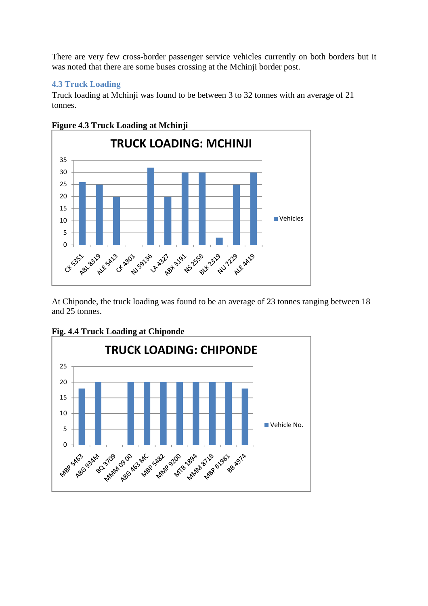There are very few cross-border passenger service vehicles currently on both borders but it was noted that there are some buses crossing at the Mchinji border post.

# **4.3 Truck Loading**

Truck loading at Mchinji was found to be between 3 to 32 tonnes with an average of 21 tonnes.



**Figure 4.3 Truck Loading at Mchinji** 

At Chiponde, the truck loading was found to be an average of 23 tonnes ranging between 18 and 25 tonnes.



**Fig. 4.4 Truck Loading at Chiponde**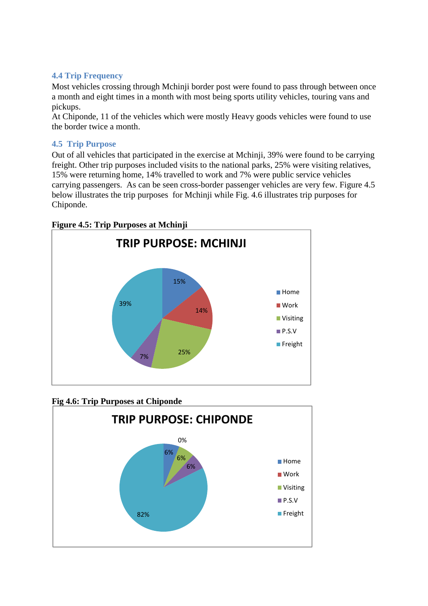# **4.4 Trip Frequency**

Most vehicles crossing through Mchinji border post were found to pass through between once a month and eight times in a month with most being sports utility vehicles, touring vans and pickups.

At Chiponde, 11 of the vehicles which were mostly Heavy goods vehicles were found to use the border twice a month.

# **4.5 Trip Purpose**

Out of all vehicles that participated in the exercise at Mchinji, 39% were found to be carrying freight. Other trip purposes included visits to the national parks, 25% were visiting relatives, 15% were returning home, 14% travelled to work and 7% were public service vehicles carrying passengers. As can be seen cross-border passenger vehicles are very few. Figure 4.5 below illustrates the trip purposes for Mchinji while Fig. 4.6 illustrates trip purposes for Chiponde.

**Figure 4.5: Trip Purposes at Mchinji** 



**Fig 4.6: Trip Purposes at Chiponde** 

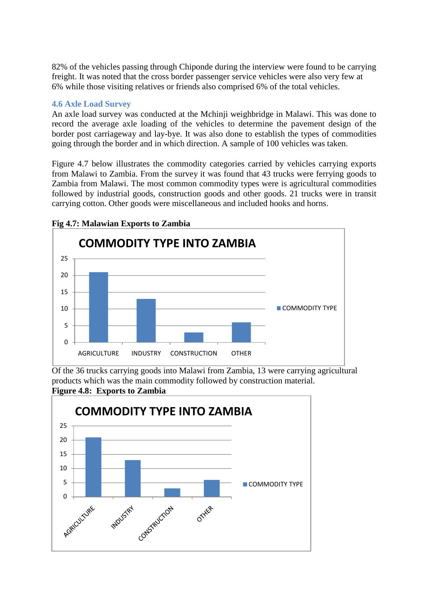82% of the vehicles passing through Chiponde during the interview were found to be carrying freight. It was noted that the cross border passenger service vehicles were also very few at 6% while those visiting relatives or friends also comprised 6% of the total vehicles.

#### **4.6 Axle Load Survey**

An axle load survey was conducted at the Mchinji weighbridge in Malawi. This was done to record the average axle loading of the vehicles to determine the pavement design of the border post carriageway and lay-bye. It was also done to establish the types of commodities going through the border and in which direction. A sample of 100 vehicles was taken.

Figure 4.7 below illustrates the commodity categories carried by vehicles carrying exports from Malawi to Zambia. From the survey it was found that 43 trucks were ferrying goods to Zambia from Malawi. The most common commodity types were is agricultural commodities followed by industrial goods, construction goods and other goods. 21 trucks were in transit carrying cotton. Other goods were miscellaneous and included hooks and horns.



**Fig 4.7: Malawian Exports to Zambia** 

Of the 36 trucks carrying goods into Malawi from Zambia, 13 were carrying agricultural products which was the main commodity followed by construction material. **Figure 4.8: Exports to Zambia** 

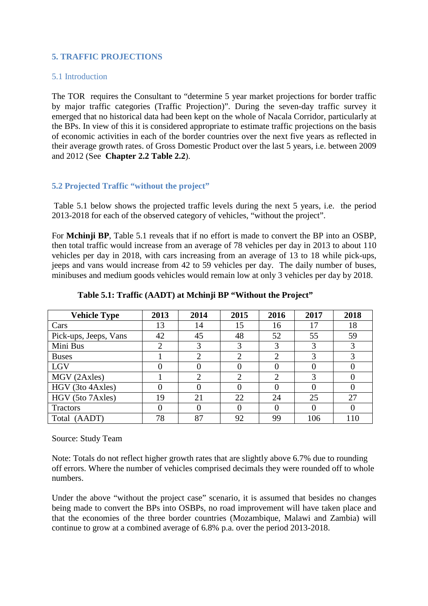# **5. TRAFFIC PROJECTIONS**

#### 5.1 Introduction

The TOR requires the Consultant to "determine 5 year market projections for border traffic by major traffic categories (Traffic Projection)". During the seven-day traffic survey it emerged that no historical data had been kept on the whole of Nacala Corridor, particularly at the BPs. In view of this it is considered appropriate to estimate traffic projections on the basis of economic activities in each of the border countries over the next five years as reflected in their average growth rates. of Gross Domestic Product over the last 5 years, i.e. between 2009 and 2012 (See **Chapter 2.2 Table 2.2**).

#### **5.2 Projected Traffic "without the project"**

Table 5.1 below shows the projected traffic levels during the next 5 years, i.e. the period 2013-2018 for each of the observed category of vehicles, "without the project".

For **Mchinji BP**, Table 5.1 reveals that if no effort is made to convert the BP into an OSBP, then total traffic would increase from an average of 78 vehicles per day in 2013 to about 110 vehicles per day in 2018, with cars increasing from an average of 13 to 18 while pick-ups, jeeps and vans would increase from 42 to 59 vehicles per day. The daily number of buses, minibuses and medium goods vehicles would remain low at only 3 vehicles per day by 2018.

| <b>Vehicle Type</b>   | 2013 | 2014           | 2015 | 2016     | 2017 | 2018 |
|-----------------------|------|----------------|------|----------|------|------|
| Cars                  | 13   | 14             | 15   | 16       | 17   | 18   |
| Pick-ups, Jeeps, Vans | 42   | 45             | 48   | 52       | 55   | 59   |
| Mini Bus              |      | 3              | 3    | 3        |      | 3    |
| <b>Buses</b>          |      | $\overline{2}$ | 2    | 2        |      | 3    |
| LGV                   |      |                |      |          |      | O    |
| MGV (2Axles)          |      | $\overline{2}$ | 2    | ာ        |      |      |
| HGV (3to 4Axles)      |      |                |      |          |      | 0    |
| HGV (5to 7Axles)      | 19   | 21             | 22   | 24       | 25   | 27   |
| <b>Tractors</b>       |      | $\theta$       |      | $\left($ |      |      |
| Total (AADT)          | 78   | 87             | 92   | 99       | 106  | 110  |

**Table 5.1: Traffic (AADT) at Mchinji BP "Without the Project"** 

Source: Study Team

Note: Totals do not reflect higher growth rates that are slightly above 6.7% due to rounding off errors. Where the number of vehicles comprised decimals they were rounded off to whole numbers.

Under the above "without the project case" scenario, it is assumed that besides no changes being made to convert the BPs into OSBPs, no road improvement will have taken place and that the economies of the three border countries (Mozambique, Malawi and Zambia) will continue to grow at a combined average of 6.8% p.a. over the period 2013-2018.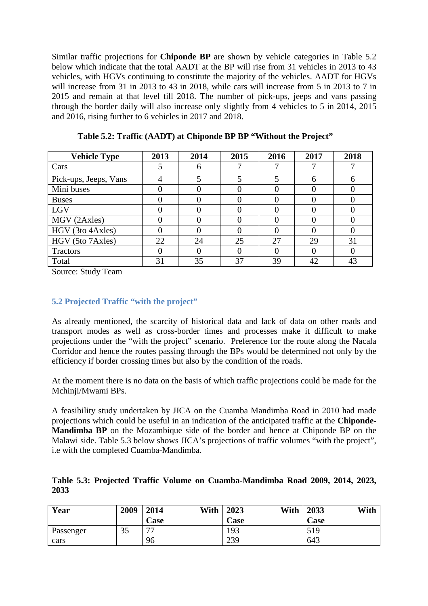Similar traffic projections for **Chiponde BP** are shown by vehicle categories in Table 5.2 below which indicate that the total AADT at the BP will rise from 31 vehicles in 2013 to 43 vehicles, with HGVs continuing to constitute the majority of the vehicles. AADT for HGVs will increase from 31 in 2013 to 43 in 2018, while cars will increase from 5 in 2013 to 7 in 2015 and remain at that level till 2018. The number of pick-ups, jeeps and vans passing through the border daily will also increase only slightly from 4 vehicles to 5 in 2014, 2015 and 2016, rising further to 6 vehicles in 2017 and 2018.

| <b>Vehicle Type</b>   | 2013 | 2014 | 2015 | 2016 | 2017 | 2018 |
|-----------------------|------|------|------|------|------|------|
| Cars                  |      | 6    |      |      |      |      |
| Pick-ups, Jeeps, Vans |      |      |      |      |      |      |
| Mini buses            |      |      |      |      |      |      |
| <b>Buses</b>          |      |      |      |      |      |      |
| LGV                   |      |      |      |      |      |      |
| MGV (2Axles)          |      |      |      |      |      |      |
| HGV (3to 4Axles)      |      |      |      |      |      |      |
| HGV (5to 7Axles)      | 22   | 24   | 25   | 27   | 29   | 31   |
| Tractors              |      |      |      |      |      |      |
| Total                 | 31   | 35   | 37   | 39   | 42   | 43   |

**Table 5.2: Traffic (AADT) at Chiponde BP BP "Without the Project"** 

Source: Study Team

# **5.2 Projected Traffic "with the project"**

As already mentioned, the scarcity of historical data and lack of data on other roads and transport modes as well as cross-border times and processes make it difficult to make projections under the "with the project" scenario. Preference for the route along the Nacala Corridor and hence the routes passing through the BPs would be determined not only by the efficiency if border crossing times but also by the condition of the roads.

At the moment there is no data on the basis of which traffic projections could be made for the Mchinji/Mwami BPs.

A feasibility study undertaken by JICA on the Cuamba Mandimba Road in 2010 had made projections which could be useful in an indication of the anticipated traffic at the **Chiponde-Mandimba BP** on the Mozambique side of the border and hence at Chiponde BP on the Malawi side. Table 5.3 below shows JICA's projections of traffic volumes "with the project", i.e with the completed Cuamba-Mandimba.

|      |  |  | Table 5.3: Projected Traffic Volume on Cuamba-Mandimba Road 2009, 2014, 2023, |  |  |
|------|--|--|-------------------------------------------------------------------------------|--|--|
| 2033 |  |  |                                                                               |  |  |

| Year      | 2009 | With<br>2014 | With<br>2023 | 2033<br>With |
|-----------|------|--------------|--------------|--------------|
|           |      | Case         | Case         | Case         |
| Passenger | 35   | 77           | 193          | 519          |
| cars      |      | 96           | 239          | 643          |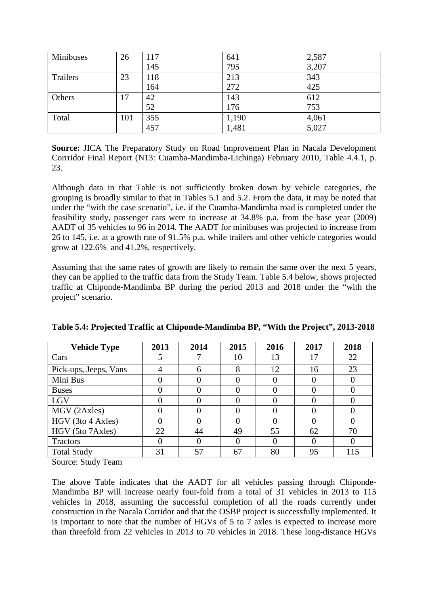| Minibuses | 26  | l 17 | 641   | 2,587 |
|-----------|-----|------|-------|-------|
|           |     | 145  | 795   | 3,207 |
| Trailers  | 23  | 118  | 213   | 343   |
|           |     | 164  | 272   | 425   |
| Others    | 17  | 42   | 143   | 612   |
|           |     | 52   | 176   | 753   |
| Total     | 101 | 355  | 1,190 | 4,061 |
|           |     | 457  | 1,481 | 5,027 |

**Source:** JICA The Preparatory Study on Road Improvement Plan in Nacala Development Corrridor Final Report (N13: Cuamba-Mandimba-Lichinga) February 2010, Table 4.4.1, p. 23.

Although data in that Table is not sufficiently broken down by vehicle categories, the grouping is broadly similar to that in Tables 5.1 and 5.2. From the data, it may be noted that under the "with the case scenario", i.e. if the Cuamba-Mandimba road is completed under the feasibility study, passenger cars were to increase at 34.8% p.a. from the base year (2009) AADT of 35 vehicles to 96 in 2014. The AADT for minibuses was projected to increase from 26 to 145, i.e. at a growth rate of 91.5% p.a. while trailers and other vehicle categories would grow at 122.6% and 41.2%, respectively.

Assuming that the same rates of growth are likely to remain the same over the next 5 years, they can be applied to the traffic data from the Study Team. Table 5.4 below, shows projected traffic at Chiponde-Mandimba BP during the period 2013 and 2018 under the "with the project" scenario.

| <b>Vehicle Type</b>   | 2013 | 2014 | 2015 | 2016         | 2017 | 2018     |
|-----------------------|------|------|------|--------------|------|----------|
| Cars                  |      |      | 10   | 13           | 17   | 22       |
| Pick-ups, Jeeps, Vans | 4    | 6    | 8    | 12           | 16   | 23       |
| Mini Bus              |      |      |      | O            |      |          |
| <b>Buses</b>          |      |      |      |              |      |          |
| LGV                   |      |      |      | 0            |      | 0        |
| MGV (2Axles)          |      |      |      | 0            |      | $\theta$ |
| HGV (3to 4 Axles)     |      |      |      |              |      |          |
| HGV (5to 7Axles)      | 22   | 44   | 49   | 55           | 62   | 70       |
| Tractors              |      |      |      | $\mathbf{0}$ |      | $\Omega$ |
| <b>Total Study</b>    | 31   | 57   | 67   | 80           | 95   | 115      |

**Table 5.4: Projected Traffic at Chiponde-Mandimba BP, "With the Project", 2013-2018** 

Source: Study Team

The above Table indicates that the AADT for all vehicles passing through Chiponde-Mandimba BP will increase nearly four-fold from a total of 31 vehicles in 2013 to 115 vehicles in 2018, assuming the successful completion of all the roads currently under construction in the Nacala Corridor and that the OSBP project is successfully implemented. It is important to note that the number of HGVs of 5 to 7 axles is expected to increase more than threefold from 22 vehicles in 2013 to 70 vehicles in 2018. These long-distance HGVs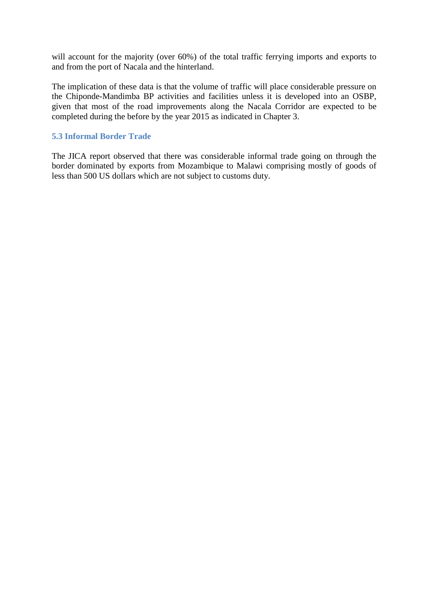will account for the majority (over 60%) of the total traffic ferrying imports and exports to and from the port of Nacala and the hinterland.

The implication of these data is that the volume of traffic will place considerable pressure on the Chiponde-Mandimba BP activities and facilities unless it is developed into an OSBP, given that most of the road improvements along the Nacala Corridor are expected to be completed during the before by the year 2015 as indicated in Chapter 3.

#### **5.3 Informal Border Trade**

The JICA report observed that there was considerable informal trade going on through the border dominated by exports from Mozambique to Malawi comprising mostly of goods of less than 500 US dollars which are not subject to customs duty.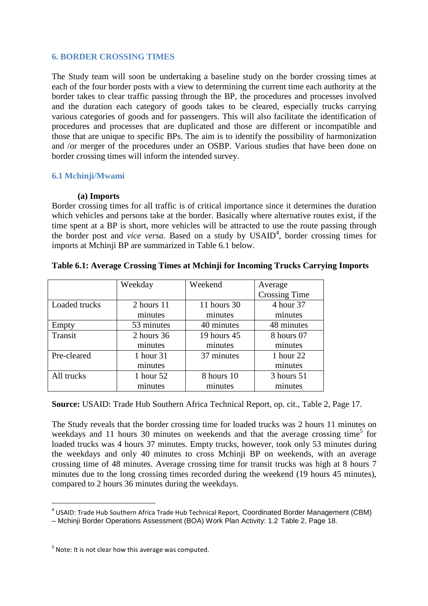#### **6. BORDER CROSSING TIMES**

The Study team will soon be undertaking a baseline study on the border crossing times at each of the four border posts with a view to determining the current time each authority at the border takes to clear traffic passing through the BP, the procedures and processes involved and the duration each category of goods takes to be cleared, especially trucks carrying various categories of goods and for passengers. This will also facilitate the identification of procedures and processes that are duplicated and those are different or incompatible and those that are unique to specific BPs. The aim is to identify the possibility of harmonization and /or merger of the procedures under an OSBP. Various studies that have been done on border crossing times will inform the intended survey.

#### **6.1 Mchinji/Mwami**

#### **(a) Imports**

Border crossing times for all traffic is of critical importance since it determines the duration which vehicles and persons take at the border. Basically where alternative routes exist, if the time spent at a BP is short, more vehicles will be attracted to use the route passing through the border post and *vice versa*. Based on a study by USAID<sup>4</sup>, border crossing times for imports at Mchinji BP are summarized in Table 6.1 below.

|               | Weekday    | Weekend       | Average              |
|---------------|------------|---------------|----------------------|
|               |            |               | <b>Crossing Time</b> |
| Loaded trucks | 2 hours 11 | 11 hours $30$ | 4 hour 37            |
|               | minutes    | minutes       | minutes              |
| Empty         | 53 minutes | 40 minutes    | 48 minutes           |
| Transit       | 2 hours 36 | 19 hours 45   | 8 hours 07           |
|               | minutes    | minutes       | minutes              |
| Pre-cleared   | 1 hour 31  | 37 minutes    | 1 hour 22            |
|               | minutes    |               | minutes              |
| All trucks    | 1 hour 52  | 8 hours 10    | 3 hours 51           |
|               | minutes    | minutes       | minutes              |

#### **Table 6.1: Average Crossing Times at Mchinji for Incoming Trucks Carrying Imports**

**Source:** USAID: Trade Hub Southern Africa Technical Report, op. cit., Table 2, Page 17.

The Study reveals that the border crossing time for loaded trucks was 2 hours 11 minutes on weekdays and 11 hours 30 minutes on weekends and that the average crossing time<sup>5</sup> for loaded trucks was 4 hours 37 minutes. Empty trucks, however, took only 53 minutes during the weekdays and only 40 minutes to cross Mchinji BP on weekends, with an average crossing time of 48 minutes. Average crossing time for transit trucks was high at 8 hours 7 minutes due to the long crossing times recorded during the weekend (19 hours 45 minutes), compared to 2 hours 36 minutes during the weekdays.

 $\overline{a}$ 

 $^4$  USAID: Trade Hub Southern Africa Trade Hub Technical Report, Coordinated Border Management (CBM)

<sup>–</sup> Mchinji Border Operations Assessment (BOA) Work Plan Activity: 1.2 Table 2, Page 18.

 $<sup>5</sup>$  Note: It is not clear how this average was computed.</sup>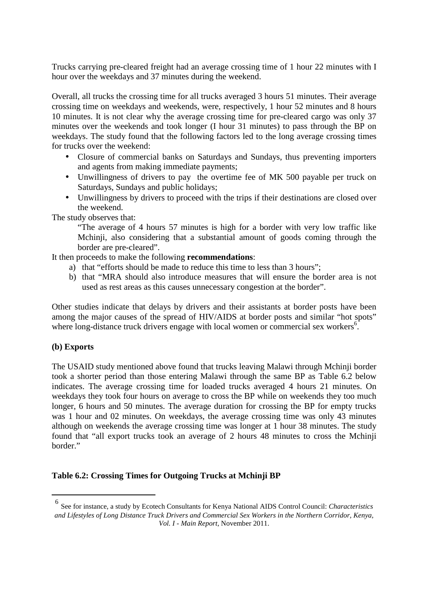Trucks carrying pre-cleared freight had an average crossing time of 1 hour 22 minutes with I hour over the weekdays and 37 minutes during the weekend.

Overall, all trucks the crossing time for all trucks averaged 3 hours 51 minutes. Their average crossing time on weekdays and weekends, were, respectively, 1 hour 52 minutes and 8 hours 10 minutes. It is not clear why the average crossing time for pre-cleared cargo was only 37 minutes over the weekends and took longer (I hour 31 minutes) to pass through the BP on weekdays. The study found that the following factors led to the long average crossing times for trucks over the weekend:

- Closure of commercial banks on Saturdays and Sundays, thus preventing importers and agents from making immediate payments;
- Unwillingness of drivers to pay the overtime fee of MK 500 payable per truck on Saturdays, Sundays and public holidays;
- Unwillingness by drivers to proceed with the trips if their destinations are closed over the weekend.

The study observes that:

"The average of 4 hours 57 minutes is high for a border with very low traffic like Mchinji, also considering that a substantial amount of goods coming through the border are pre-cleared".

It then proceeds to make the following **recommendations**:

- a) that "efforts should be made to reduce this time to less than 3 hours";
- b) that "MRA should also introduce measures that will ensure the border area is not used as rest areas as this causes unnecessary congestion at the border".

Other studies indicate that delays by drivers and their assistants at border posts have been among the major causes of the spread of HIV/AIDS at border posts and similar "hot spots" where long-distance truck drivers engage with local women or commercial sex workers<sup>6</sup>.

#### **(b) Exports**

 $\overline{a}$ 

The USAID study mentioned above found that trucks leaving Malawi through Mchinji border took a shorter period than those entering Malawi through the same BP as Table 6.2 below indicates. The average crossing time for loaded trucks averaged 4 hours 21 minutes. On weekdays they took four hours on average to cross the BP while on weekends they too much longer, 6 hours and 50 minutes. The average duration for crossing the BP for empty trucks was 1 hour and 02 minutes. On weekdays, the average crossing time was only 43 minutes although on weekends the average crossing time was longer at 1 hour 38 minutes. The study found that "all export trucks took an average of 2 hours 48 minutes to cross the Mchinji border."

#### **Table 6.2: Crossing Times for Outgoing Trucks at Mchinji BP**

<sup>6</sup> See for instance, a study by Ecotech Consultants for Kenya National AIDS Control Council: *Characteristics and Lifestyles of Long Distance Truck Drivers and Commercial Sex Workers in the Northern Corridor, Kenya, Vol. I - Main Report*, November 2011.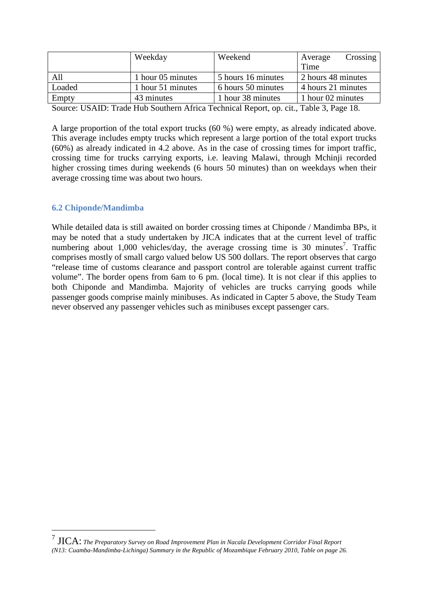|        | Weekday           | Weekend            | Crossing<br>Average |
|--------|-------------------|--------------------|---------------------|
|        |                   |                    | Time                |
| All    | 1 hour 05 minutes | 5 hours 16 minutes | 2 hours 48 minutes  |
| Loaded | 1 hour 51 minutes | 6 hours 50 minutes | 4 hours 21 minutes  |
| Empty  | 43 minutes        | 1 hour 38 minutes  | 1 hour 02 minutes   |

Source: USAID: Trade Hub Southern Africa Technical Report, op. cit., Table 3, Page 18.

A large proportion of the total export trucks (60 %) were empty, as already indicated above. This average includes empty trucks which represent a large portion of the total export trucks (60%) as already indicated in 4.2 above. As in the case of crossing times for import traffic, crossing time for trucks carrying exports, i.e. leaving Malawi, through Mchinji recorded higher crossing times during weekends (6 hours 50 minutes) than on weekdays when their average crossing time was about two hours.

# **6.2 Chiponde/Mandimba**

 $\overline{a}$ 

While detailed data is still awaited on border crossing times at Chiponde / Mandimba BPs, it may be noted that a study undertaken by JICA indicates that at the current level of traffic numbering about  $1,000$  vehicles/day, the average crossing time is 30 minutes<sup>7</sup>. Traffic comprises mostly of small cargo valued below US 500 dollars. The report observes that cargo "release time of customs clearance and passport control are tolerable against current traffic volume". The border opens from 6am to 6 pm. (local time). It is not clear if this applies to both Chiponde and Mandimba. Majority of vehicles are trucks carrying goods while passenger goods comprise mainly minibuses. As indicated in Capter 5 above, the Study Team never observed any passenger vehicles such as minibuses except passenger cars.

<sup>7</sup> JICA: *The Preparatory Survey on Road Improvement Plan in Nacala Development Corridor Final Report (N13: Cuamba-Mandimba-Lichinga) Summary in the Republic of Mozambique February 2010, Table on page 26.*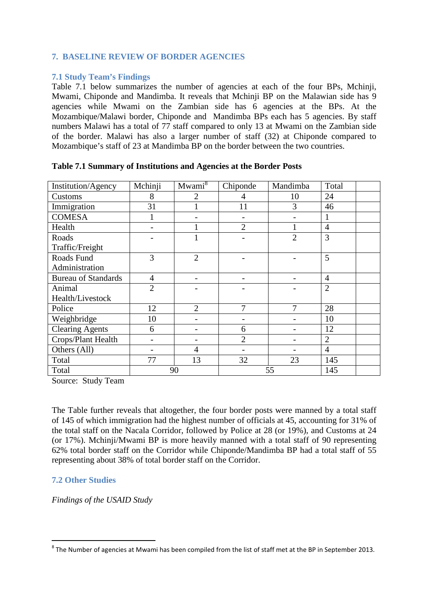# **7. BASELINE REVIEW OF BORDER AGENCIES**

#### **7.1 Study Team's Findings**

Table 7.1 below summarizes the number of agencies at each of the four BPs, Mchinji, Mwami, Chiponde and Mandimba. It reveals that Mchinji BP on the Malawian side has 9 agencies while Mwami on the Zambian side has 6 agencies at the BPs. At the Mozambique/Malawi border, Chiponde and Mandimba BPs each has 5 agencies. By staff numbers Malawi has a total of 77 staff compared to only 13 at Mwami on the Zambian side of the border. Malawi has also a larger number of staff (32) at Chiponde compared to Mozambique's staff of 23 at Mandimba BP on the border between the two countries.

| Institution/Agency         | Mchinji        | Mwami <sup>8</sup> | Chiponde       | Mandimba       | Total          |  |
|----------------------------|----------------|--------------------|----------------|----------------|----------------|--|
| Customs                    | 8              | $\overline{2}$     | 4              | 10             | 24             |  |
| Immigration                | 31             |                    | 11             | 3              | 46             |  |
| <b>COMESA</b>              |                |                    |                |                |                |  |
| Health                     |                |                    | $\overline{2}$ |                | $\overline{4}$ |  |
| Roads                      |                |                    |                | $\overline{2}$ | $\overline{3}$ |  |
| Traffic/Freight            |                |                    |                |                |                |  |
| Roads Fund                 | 3              | $\overline{2}$     |                |                | 5              |  |
| Administration             |                |                    |                |                |                |  |
| <b>Bureau of Standards</b> | $\overline{4}$ |                    |                |                | $\overline{4}$ |  |
| Animal                     | $\overline{2}$ |                    |                |                | $\overline{2}$ |  |
| Health/Livestock           |                |                    |                |                |                |  |
| Police                     | 12             | $\overline{2}$     | 7              | $\tau$         | 28             |  |
| Weighbridge                | 10             |                    |                |                | 10             |  |
| <b>Clearing Agents</b>     | 6              |                    | 6              |                | 12             |  |
| Crops/Plant Health         |                |                    | $\overline{2}$ |                | $\overline{2}$ |  |
| Others (All)               |                | 4                  |                |                | $\overline{4}$ |  |
| Total                      | 77             | 13                 | 32             | 23             | 145            |  |
| Total                      |                | 90                 |                | 55             | 145            |  |

#### **Table 7.1 Summary of Institutions and Agencies at the Border Posts**

Source: Study Team

The Table further reveals that altogether, the four border posts were manned by a total staff of 145 of which immigration had the highest number of officials at 45, accounting for 31% of the total staff on the Nacala Corridor, followed by Police at 28 (or 19%), and Customs at 24 (or 17%). Mchinji/Mwami BP is more heavily manned with a total staff of 90 representing 62% total border staff on the Corridor while Chiponde/Mandimba BP had a total staff of 55 representing about 38% of total border staff on the Corridor.

# **7.2 Other Studies**

*Findings of the USAID Study* 

**EXELTE:**<br>8 The Number of agencies at Mwami has been compiled from the list of staff met at the BP in September 2013.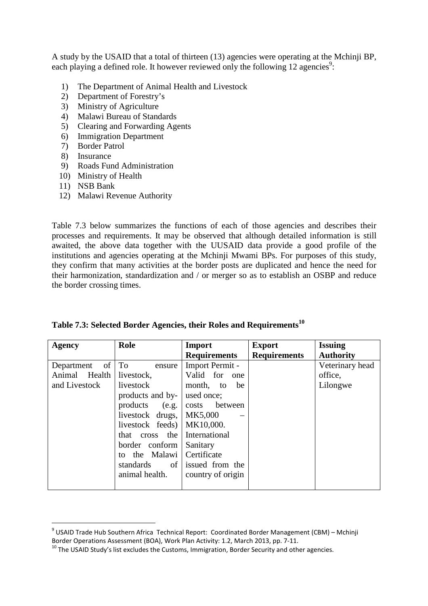A study by the USAID that a total of thirteen (13) agencies were operating at the Mchinji BP, each playing a defined role. It however reviewed only the following 12 agencies<sup>9</sup>:

- 1) The Department of Animal Health and Livestock<br>2) Department of Forestry's
- 2) Department of Forestry's
- 3) Ministry of Agriculture
- 4) Malawi Bureau of Standards
- 5) Clearing and Forwarding Agents
- 6) Immigration Department
- 7) Border Patrol
- 8) Insurance
- 9) Roads Fund Administration
- 10) Ministry of Health
- 11) NSB Bank

 $\overline{a}$ 

12) Malawi Revenue Authority

Table 7.3 below summarizes the functions of each of those agencies and describes their processes and requirements. It may be observed that although detailed information is still awaited, the above data together with the UUSAID data provide a good profile of the institutions and agencies operating at the Mchinji Mwami BPs. For purposes of this study, they confirm that many activities at the border posts are duplicated and hence the need for their harmonization, standardization and / or merger so as to establish an OSBP and reduce the border crossing times.

| Agency                        | Role             | <b>Import</b>       | <b>Export</b>       | <b>Issuing</b>   |
|-------------------------------|------------------|---------------------|---------------------|------------------|
|                               |                  | <b>Requirements</b> | <b>Requirements</b> | <b>Authority</b> |
| of <sub>1</sub><br>Department | To<br>ensure     | Import Permit -     |                     | Veterinary head  |
| Animal Health                 | livestock,       | Valid for one       |                     | office,          |
| and Livestock                 | livestock        | month, to<br>be     |                     | Lilongwe         |
|                               | products and by- | used once;          |                     |                  |
|                               | products (e.g.   | costs between       |                     |                  |
|                               | livestock drugs, | MK5,000             |                     |                  |
|                               | livestock feeds) | MK10,000.           |                     |                  |
|                               | that cross the   | International       |                     |                  |
|                               | border conform   | Sanitary            |                     |                  |
|                               | to the Malawi    | Certificate         |                     |                  |
|                               | of<br>standards  | issued from the     |                     |                  |
|                               | animal health.   | country of origin   |                     |                  |
|                               |                  |                     |                     |                  |

|  |  | Table 7.3: Selected Border Agencies, their Roles and Requirements <sup>10</sup> |
|--|--|---------------------------------------------------------------------------------|
|  |  |                                                                                 |

<sup>&</sup>lt;sup>9</sup> USAID Trade Hub Southern Africa Technical Report: Coordinated Border Management (CBM) – Mchinji Border Operations Assessment (BOA), Work Plan Activity: 1.2, March 2013, pp. 7-11.

 $10$  The USAID Study's list excludes the Customs, Immigration, Border Security and other agencies.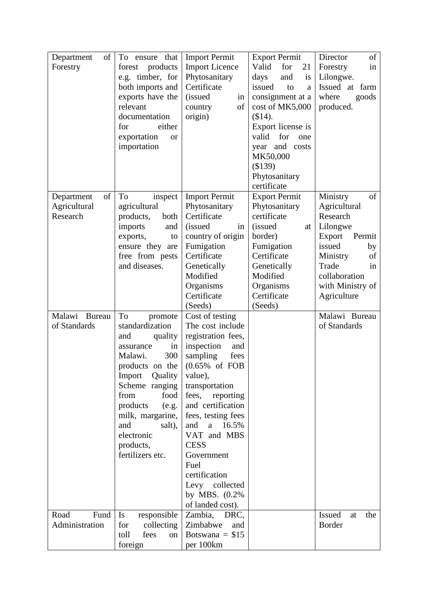| Department<br>of | To ensure that                     | <b>Import Permit</b>                    | <b>Export Permit</b>     | of<br>Director       |
|------------------|------------------------------------|-----------------------------------------|--------------------------|----------------------|
| Forestry         | products<br>forest                 | <b>Import Licence</b>                   | Valid<br>for<br>21       | Forestry<br>in       |
|                  | e.g. timber, for                   | Phytosanitary                           | and<br>is<br>days        | Lilongwe.            |
|                  | both imports and                   | Certificate                             | issued<br>to<br>a        | Issued at farm       |
|                  | exports have the                   | <i>(issued)</i><br>in                   | consignment at a         | where<br>goods       |
|                  | relevant                           | of<br>country                           | cost of MK5,000          | produced.            |
|                  | documentation                      | origin)                                 | (\$14).                  |                      |
|                  | for<br>either                      |                                         | Export license is        |                      |
|                  | exportation<br>or                  |                                         | valid<br>for<br>one      |                      |
|                  | importation                        |                                         | year and costs           |                      |
|                  |                                    |                                         | MK50,000                 |                      |
|                  |                                    |                                         | (\$139)                  |                      |
|                  |                                    |                                         | Phytosanitary            |                      |
|                  |                                    |                                         | certificate              |                      |
| of<br>Department | To<br>inspect                      | <b>Import Permit</b>                    | <b>Export Permit</b>     | Ministry<br>of       |
| Agricultural     | agricultural                       | Phytosanitary                           | Phytosanitary            | Agricultural         |
| Research         | products,<br>both                  | Certificate                             | certificate              | Research             |
|                  | imports<br>and                     | <i>(issued)</i>                         | <i>(issued)</i>          | Lilongwe             |
|                  |                                    | in                                      | at<br>border)            | Export<br>Permit     |
|                  | exports,<br>to                     | country of origin<br>Fumigation         | Fumigation               | issued               |
|                  | ensure they are<br>free from pests | Certificate                             | Certificate              | by<br>Ministry<br>of |
|                  | and diseases.                      | Genetically                             | Genetically              | Trade                |
|                  |                                    | Modified                                | Modified                 | 1n<br>collaboration  |
|                  |                                    |                                         |                          |                      |
|                  |                                    | Organisms<br>Certificate                | Organisms<br>Certificate | with Ministry of     |
|                  |                                    |                                         |                          | Agriculture          |
|                  |                                    | (Seeds)                                 | (Seeds)                  |                      |
| Malawi<br>Bureau | To<br>promote                      | Cost of testing                         |                          | Malawi Bureau        |
| of Standards     | standardization                    | The cost include                        |                          | of Standards         |
|                  | quality<br>and                     | registration fees,<br>inspection<br>and |                          |                      |
|                  | in<br>assurance<br>300<br>Malawi.  | sampling<br>fees                        |                          |                      |
|                  |                                    | $(0.65\% \text{ of } FOB)$              |                          |                      |
|                  | products on the<br>Quality         |                                         |                          |                      |
|                  | Import                             | value),                                 |                          |                      |
|                  | Scheme ranging                     | transportation                          |                          |                      |
|                  | from<br>food                       | fees,<br>reporting                      |                          |                      |
|                  | products<br>(e.g.                  | and certification                       |                          |                      |
|                  | milk, margarine,                   | fees, testing fees                      |                          |                      |
|                  | and<br>salt),                      | and<br>a $16.5%$                        |                          |                      |
|                  | electronic                         | VAT and MBS                             |                          |                      |
|                  | products,                          | <b>CESS</b>                             |                          |                      |
|                  | fertilizers etc.                   | Government                              |                          |                      |
|                  |                                    | Fuel                                    |                          |                      |
|                  |                                    | certification                           |                          |                      |
|                  |                                    | Levy collected                          |                          |                      |
|                  |                                    | by MBS. (0.2%)                          |                          |                      |
|                  |                                    | of landed cost).                        |                          |                      |
| Road<br>Fund     | responsible<br>Is                  | Zambia,<br>DRC,                         |                          | Issued<br>the<br>at  |
| Administration   | for<br>collecting                  | Zimbabwe<br>and                         |                          | <b>Border</b>        |
|                  | fees<br>toll<br>on                 | Botswana = $$15$                        |                          |                      |
|                  | foreign                            | per 100km                               |                          |                      |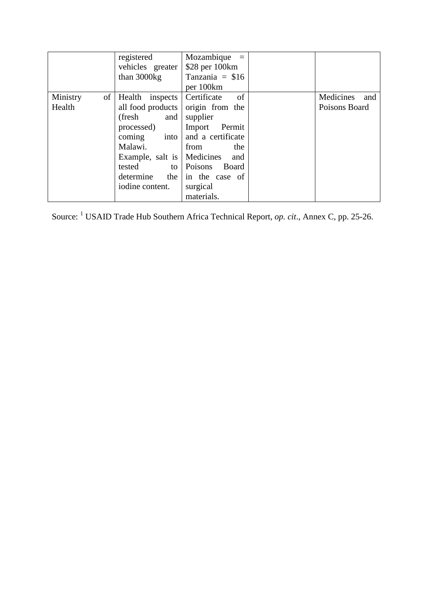|          | registered                   | $Mozambique =$               |                  |
|----------|------------------------------|------------------------------|------------------|
|          | vehicles greater             | \$28 per 100km               |                  |
|          | than 3000kg                  | Tanzania = $$16$             |                  |
|          |                              | per 100km                    |                  |
| Ministry | of   Health inspects         | <sub>of</sub><br>Certificate | Medicines<br>and |
| Health   | all food products            | origin from the              | Poisons Board    |
|          | (fresh<br>and                | supplier                     |                  |
|          | processed)                   | Permit<br>Import             |                  |
|          | coming<br>into               | and a certificate            |                  |
|          | Malawi.                      | from<br>the                  |                  |
|          | Example, salt is   Medicines | and                          |                  |
|          | tested<br>to 1               | Poisons Board                |                  |
|          | determine<br>the             | in the case of               |                  |
|          | iodine content.              | surgical                     |                  |
|          |                              | materials.                   |                  |

Source: <sup>1</sup> USAID Trade Hub Southern Africa Technical Report, *op. cit.*, Annex C, pp. 25-26.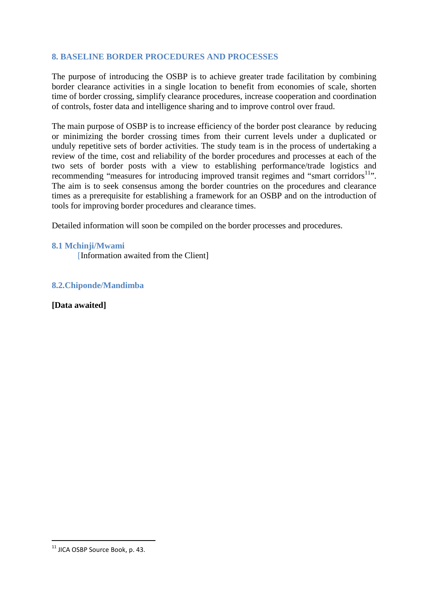# **8. BASELINE BORDER PROCEDURES AND PROCESSES**

The purpose of introducing the OSBP is to achieve greater trade facilitation by combining border clearance activities in a single location to benefit from economies of scale, shorten time of border crossing, simplify clearance procedures, increase cooperation and coordination of controls, foster data and intelligence sharing and to improve control over fraud.

The main purpose of OSBP is to increase efficiency of the border post clearance by reducing or minimizing the border crossing times from their current levels under a duplicated or unduly repetitive sets of border activities. The study team is in the process of undertaking a review of the time, cost and reliability of the border procedures and processes at each of the two sets of border posts with a view to establishing performance/trade logistics and recommending "measures for introducing improved transit regimes and "smart corridors<sup>11</sup>". The aim is to seek consensus among the border countries on the procedures and clearance times as a prerequisite for establishing a framework for an OSBP and on the introduction of tools for improving border procedures and clearance times.

Detailed information will soon be compiled on the border processes and procedures.

#### **8.1 Mchinji/Mwami**

[Information awaited from the Client]

**8.2.Chiponde/Mandimba** 

**[Data awaited]** 

 $\overline{a}$ 

 $11$  JICA OSBP Source Book, p. 43.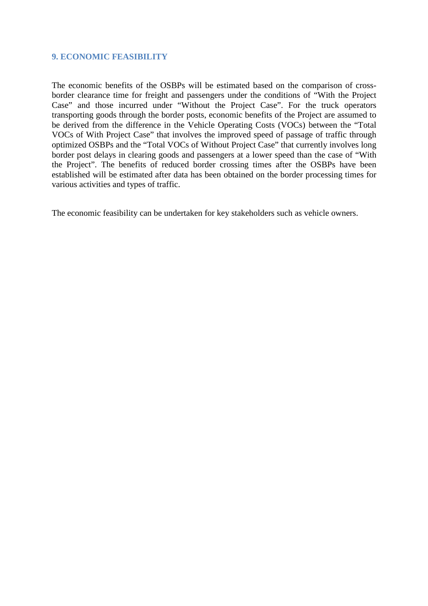#### **9. ECONOMIC FEASIBILITY**

The economic benefits of the OSBPs will be estimated based on the comparison of crossborder clearance time for freight and passengers under the conditions of "With the Project Case" and those incurred under "Without the Project Case". For the truck operators transporting goods through the border posts, economic benefits of the Project are assumed to be derived from the difference in the Vehicle Operating Costs (VOCs) between the "Total VOCs of With Project Case" that involves the improved speed of passage of traffic through optimized OSBPs and the "Total VOCs of Without Project Case" that currently involves long border post delays in clearing goods and passengers at a lower speed than the case of "With the Project". The benefits of reduced border crossing times after the OSBPs have been established will be estimated after data has been obtained on the border processing times for various activities and types of traffic.

The economic feasibility can be undertaken for key stakeholders such as vehicle owners.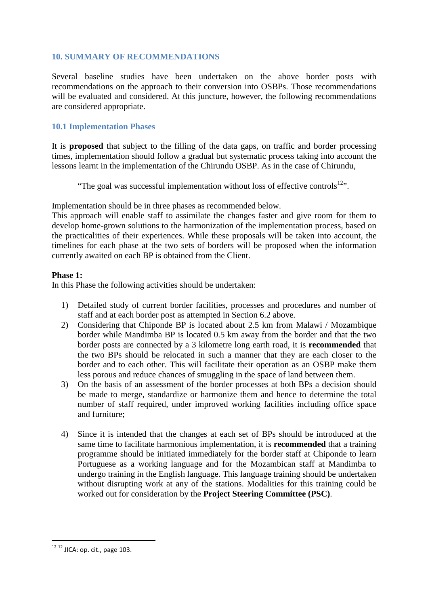# **10. SUMMARY OF RECOMMENDATIONS**

Several baseline studies have been undertaken on the above border posts with recommendations on the approach to their conversion into OSBPs. Those recommendations will be evaluated and considered. At this juncture, however, the following recommendations are considered appropriate.

## **10.1 Implementation Phases**

It is **proposed** that subject to the filling of the data gaps, on traffic and border processing times, implementation should follow a gradual but systematic process taking into account the lessons learnt in the implementation of the Chirundu OSBP. As in the case of Chirundu,

"The goal was successful implementation without loss of effective controls $12$ ".

Implementation should be in three phases as recommended below.

This approach will enable staff to assimilate the changes faster and give room for them to develop home-grown solutions to the harmonization of the implementation process, based on the practicalities of their experiences. While these proposals will be taken into account, the timelines for each phase at the two sets of borders will be proposed when the information currently awaited on each BP is obtained from the Client.

#### **Phase 1:**

In this Phase the following activities should be undertaken:

- 1) Detailed study of current border facilities, processes and procedures and number of staff and at each border post as attempted in Section 6.2 above.
- 2) Considering that Chiponde BP is located about 2.5 km from Malawi / Mozambique border while Mandimba BP is located 0.5 km away from the border and that the two border posts are connected by a 3 kilometre long earth road, it is **recommended** that the two BPs should be relocated in such a manner that they are each closer to the border and to each other. This will facilitate their operation as an OSBP make them less porous and reduce chances of smuggling in the space of land between them.
- 3) On the basis of an assessment of the border processes at both BPs a decision should be made to merge, standardize or harmonize them and hence to determine the total number of staff required, under improved working facilities including office space and furniture;
- 4) Since it is intended that the changes at each set of BPs should be introduced at the same time to facilitate harmonious implementation, it is **recommended** that a training programme should be initiated immediately for the border staff at Chiponde to learn Portuguese as a working language and for the Mozambican staff at Mandimba to undergo training in the English language. This language training should be undertaken without disrupting work at any of the stations. Modalities for this training could be worked out for consideration by the **Project Steering Committee (PSC)**.

 $\overline{a}$ 

 $12$  12 JICA: op. cit., page 103.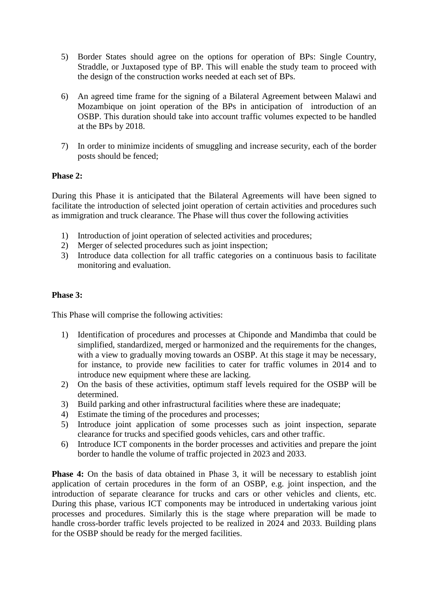- 5) Border States should agree on the options for operation of BPs: Single Country, Straddle, or Juxtaposed type of BP. This will enable the study team to proceed with the design of the construction works needed at each set of BPs.
- 6) An agreed time frame for the signing of a Bilateral Agreement between Malawi and Mozambique on joint operation of the BPs in anticipation of introduction of an OSBP. This duration should take into account traffic volumes expected to be handled at the BPs by 2018.
- 7) In order to minimize incidents of smuggling and increase security, each of the border posts should be fenced;

#### **Phase 2:**

During this Phase it is anticipated that the Bilateral Agreements will have been signed to facilitate the introduction of selected joint operation of certain activities and procedures such as immigration and truck clearance. The Phase will thus cover the following activities

- 1) Introduction of joint operation of selected activities and procedures;
- 2) Merger of selected procedures such as joint inspection;
- 3) Introduce data collection for all traffic categories on a continuous basis to facilitate monitoring and evaluation.

#### **Phase 3:**

This Phase will comprise the following activities:

- 1) Identification of procedures and processes at Chiponde and Mandimba that could be simplified, standardized, merged or harmonized and the requirements for the changes, with a view to gradually moving towards an OSBP. At this stage it may be necessary, for instance, to provide new facilities to cater for traffic volumes in 2014 and to introduce new equipment where these are lacking.
- 2) On the basis of these activities, optimum staff levels required for the OSBP will be determined.
- 3) Build parking and other infrastructural facilities where these are inadequate;
- 4) Estimate the timing of the procedures and processes;
- 5) Introduce joint application of some processes such as joint inspection, separate clearance for trucks and specified goods vehicles, cars and other traffic.
- 6) Introduce ICT components in the border processes and activities and prepare the joint border to handle the volume of traffic projected in 2023 and 2033.

**Phase 4:** On the basis of data obtained in Phase 3, it will be necessary to establish joint application of certain procedures in the form of an OSBP, e.g. joint inspection, and the introduction of separate clearance for trucks and cars or other vehicles and clients, etc. During this phase, various ICT components may be introduced in undertaking various joint processes and procedures. Similarly this is the stage where preparation will be made to handle cross-border traffic levels projected to be realized in 2024 and 2033. Building plans for the OSBP should be ready for the merged facilities.